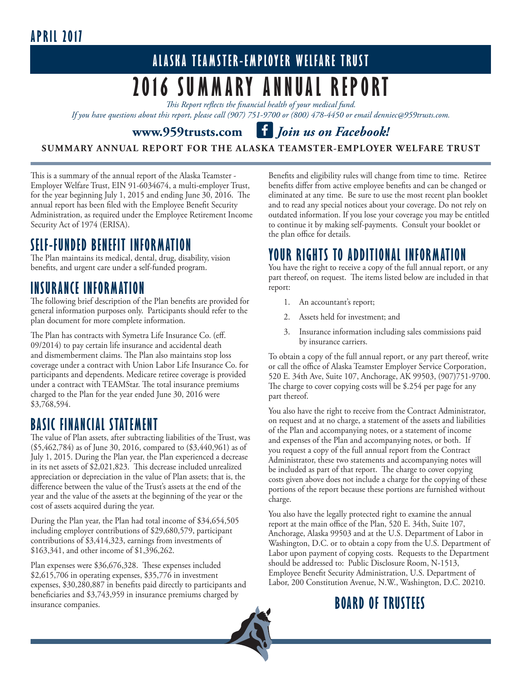# **APRIL 2017**

# **ALASKA TEAMSTER-EMPLOYER WELFARE TRUST 2016 SUMMARY ANNUAL REPORT**

*This Report reflects the financial health of your medical fund.* 

*If you have questions about this report, please call (907) 751-9700 or (800) 478-4450 or email denniec@959trusts.com.* 

#### www.959trusts.com illustrian *Migoritan us on Facebook!*

#### **SUMMARY ANNUAL REPORT FOR THE ALASKA TEAMSTER-EMPLOYER WELFARE TRUST**

This is a summary of the annual report of the Alaska Teamster - Employer Welfare Trust, EIN 91-6034674, a multi-employer Trust, for the year beginning July 1, 2015 and ending June 30, 2016. The annual report has been filed with the Employee Benefit Security Administration, as required under the Employee Retirement Income Security Act of 1974 (ERISA).

### **SELF-FUNDED BENEFIT INFORMATION**

The Plan maintains its medical, dental, drug, disability, vision benefits, and urgent care under a self-funded program.

#### **INSURANCE INFORMATION**

The following brief description of the Plan benefits are provided for general information purposes only. Participants should refer to the plan document for more complete information.

The Plan has contracts with Symetra Life Insurance Co. (eff. 09/2014) to pay certain life insurance and accidental death and dismemberment claims. The Plan also maintains stop loss coverage under a contract with Union Labor Life Insurance Co. for participants and dependents. Medicare retiree coverage is provided under a contract with TEAMStar. The total insurance premiums charged to the Plan for the year ended June 30, 2016 were \$3,768,594.

### **BASIC FINANCIAL STATEMENT**

The value of Plan assets, after subtracting liabilities of the Trust, was (\$5,462,784) as of June 30, 2016, compared to (\$3,440,961) as of July 1, 2015. During the Plan year, the Plan experienced a decrease in its net assets of \$2,021,823. This decrease included unrealized appreciation or depreciation in the value of Plan assets; that is, the difference between the value of the Trust's assets at the end of the year and the value of the assets at the beginning of the year or the cost of assets acquired during the year.

During the Plan year, the Plan had total income of \$34,654,505 including employer contributions of \$29,680,579, participant contributions of \$3,414,323, earnings from investments of \$163,341, and other income of \$1,396,262.

Plan expenses were \$36,676,328. These expenses included \$2,615,706 in operating expenses, \$35,776 in investment expenses, \$30,280,887 in benefits paid directly to participants and beneficiaries and \$3,743,959 in insurance premiums charged by insurance companies.

Benefits and eligibility rules will change from time to time. Retiree benefits differ from active employee benefits and can be changed or eliminated at any time. Be sure to use the most recent plan booklet and to read any special notices about your coverage. Do not rely on outdated information. If you lose your coverage you may be entitled to continue it by making self-payments. Consult your booklet or the plan office for details.

#### **YOUR RIGHTS TO ADDITIONAL INFORMATION**

You have the right to receive a copy of the full annual report, or any part thereof, on request. The items listed below are included in that report:

- 1. An accountant's report;
- 2. Assets held for investment; and
- 3. Insurance information including sales commissions paid by insurance carriers.

To obtain a copy of the full annual report, or any part thereof, write or call the office of Alaska Teamster Employer Service Corporation, 520 E. 34th Ave, Suite 107, Anchorage, AK 99503, (907)751-9700. The charge to cover copying costs will be \$.254 per page for any part thereof.

You also have the right to receive from the Contract Administrator, on request and at no charge, a statement of the assets and liabilities of the Plan and accompanying notes, or a statement of income and expenses of the Plan and accompanying notes, or both. If you request a copy of the full annual report from the Contract Administrator, these two statements and accompanying notes will be included as part of that report. The charge to cover copying costs given above does not include a charge for the copying of these portions of the report because these portions are furnished without charge.

You also have the legally protected right to examine the annual report at the main office of the Plan, 520 E. 34th, Suite 107, Anchorage, Alaska 99503 and at the U.S. Department of Labor in Washington, D.C. or to obtain a copy from the U.S. Department of Labor upon payment of copying costs. Requests to the Department should be addressed to: Public Disclosure Room, N-1513, Employee Benefit Security Administration, U.S. Department of Labor, 200 Constitution Avenue, N.W., Washington, D.C. 20210.

# **BOARD OF TRUSTEES**